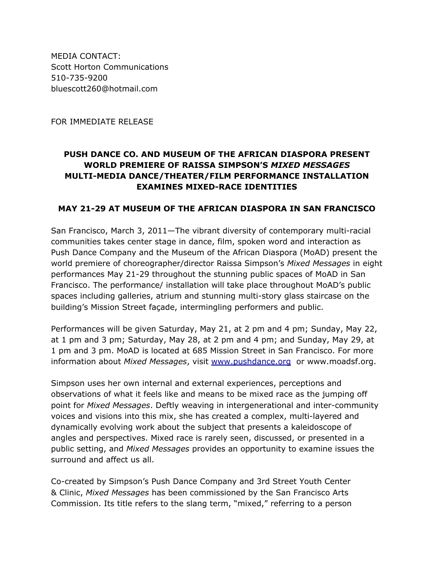MEDIA CONTACT: Scott Horton Communications 510-735-9200 bluescott260@hotmail.com

FOR IMMEDIATE RELEASE

# **PUSH DANCE CO. AND MUSEUM OF THE AFRICAN DIASPORA PRESENT WORLD PREMIERE OF RAISSA SIMPSON'S** *MIXED MESSAGES* **MULTI-MEDIA DANCE/THEATER/FILM PERFORMANCE INSTALLATION EXAMINES MIXED-RACE IDENTITIES**

### **MAY 21-29 AT MUSEUM OF THE AFRICAN DIASPORA IN SAN FRANCISCO**

San Francisco, March 3, 2011—The vibrant diversity of contemporary multi-racial communities takes center stage in dance, film, spoken word and interaction as Push Dance Company and the Museum of the African Diaspora (MoAD) present the world premiere of choreographer/director Raissa Simpson's *Mixed Messages* in eight performances May 21-29 throughout the stunning public spaces of MoAD in San Francisco. The performance/ installation will take place throughout MoAD's public spaces including galleries, atrium and stunning multi-story glass staircase on the building's Mission Street façade, intermingling performers and public.

Performances will be given Saturday, May 21, at 2 pm and 4 pm; Sunday, May 22, at 1 pm and 3 pm; Saturday, May 28, at 2 pm and 4 pm; and Sunday, May 29, at 1 pm and 3 pm. MoAD is located at 685 Mission Street in San Francisco. For more information about *Mixed Messages*, visit [www.](http://www.google.com/url?q=http%3A%2F%2Fwww.pushdance.org%2F&sa=D&sntz=1&usg=AFQjCNGmRRHrWr11cF2kRuievebohlFhmQ)pus[hdance.org](http://www.google.com/url?q=http%3A%2F%2Fwww.pushdance.org%2F&sa=D&sntz=1&usg=AFQjCNGmRRHrWr11cF2kRuievebohlFhmQ) or www.m[oadsf.](http://www.google.com/url?q=http%3A%2F%2Fwww.pushdance.org%2F&sa=D&sntz=1&usg=AFQjCNGmRRHrWr11cF2kRuievebohlFhmQ)org.

Simpson uses her own internal and external experiences, perceptions and observations of what it feels like and means to be mixed race as the jumping off point for *Mixed Messages*. Deftly weaving in intergenerational and inter-community voices and visions into this mix, she has created a complex, multi-layered and dynamically evolving work about the subject that presents a kaleidoscope of angles and perspectives. Mixed race is rarely seen, discussed, or presented in a public setting, and *Mixed Messages* provides an opportunity to examine issues the surround and affect us all.

Co-created by Simpson's Push Dance Company and 3rd Street Youth Center & Clinic, *Mixed Messages* has been commissioned by the San Francisco Arts Commission. Its title refers to the slang term, "mixed," referring to a person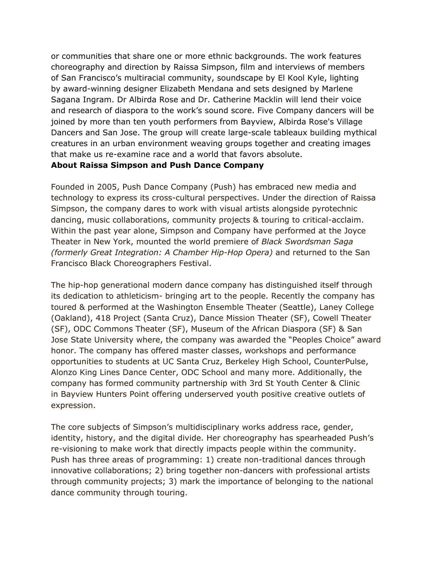or communities that share one or more ethnic backgrounds. The work features choreography and direction by Raissa Simpson, film and interviews of members of San Francisco's multiracial community, soundscape by El Kool Kyle, lighting by award-winning designer Elizabeth Mendana and sets designed by Marlene Sagana Ingram. Dr Albirda Rose and Dr. Catherine Macklin will lend their voice and research of diaspora to the work's sound score. Five Company dancers will be joined by more than ten youth performers from Bayview, Albirda Rose's Village Dancers and San Jose. The group will create large-scale tableaux building mythical creatures in an urban environment weaving groups together and creating images that make us re-examine race and a world that favors absolute.

#### **About Raissa Simpson and Push Dance Company**

Founded in 2005, Push Dance Company (Push) has embraced new media and technology to express its cross-cultural perspectives. Under the direction of Raissa Simpson, the company dares to work with visual artists alongside pyrotechnic dancing, music collaborations, community projects & touring to critical-acclaim. Within the past year alone, Simpson and Company have performed at the Joyce Theater in New York, mounted the world premiere of *Black Swordsman Saga (formerly Great Integration: A Chamber Hip-Hop Opera)* and returned to the San Francisco Black Choreographers Festival.

The hip-hop generational modern dance company has distinguished itself through its dedication to athleticism- bringing art to the people. Recently the company has toured & performed at the Washington Ensemble Theater (Seattle), Laney College (Oakland), 418 Project (Santa Cruz), Dance Mission Theater (SF), Cowell Theater (SF), ODC Commons Theater (SF), Museum of the African Diaspora (SF) & San Jose State University where, the company was awarded the "Peoples Choice" award honor. The company has offered master classes, workshops and performance opportunities to students at UC Santa Cruz, Berkeley High School, CounterPulse, Alonzo King Lines Dance Center, ODC School and many more. Additionally, the company has formed community partnership with 3rd St Youth Center & Clinic in Bayview Hunters Point offering underserved youth positive creative outlets of expression.

The core subjects of Simpson's multidisciplinary works address race, gender, identity, history, and the digital divide. Her choreography has spearheaded Push's re-visioning to make work that directly impacts people within the community. Push has three areas of programming: 1) create non-traditional dances through innovative collaborations; 2) bring together non-dancers with professional artists through community projects; 3) mark the importance of belonging to the national dance community through touring.